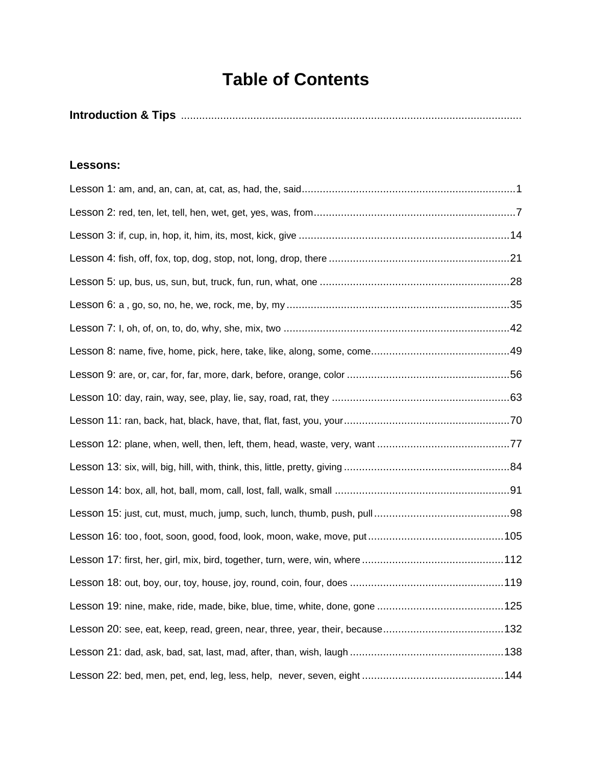## **Table of Contents**

|--|--|

## **Lessons:**